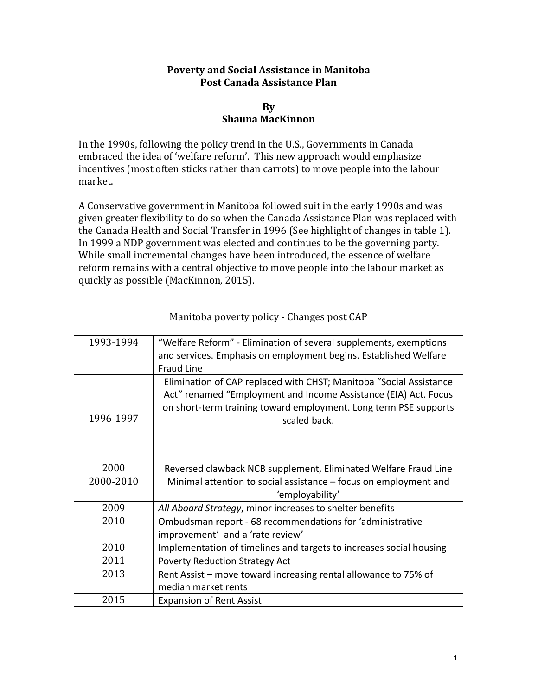## **Poverty and Social Assistance in Manitoba Post Canada Assistance Plan**

## **By Shauna MacKinnon**

In the 1990s, following the policy trend in the U.S., Governments in Canada embraced the idea of 'welfare reform'. This new approach would emphasize incentives (most often sticks rather than carrots) to move people into the labour market.

A Conservative government in Manitoba followed suit in the early 1990s and was given greater flexibility to do so when the Canada Assistance Plan was replaced with the Canada Health and Social Transfer in 1996 (See highlight of changes in table 1). In 1999 a NDP government was elected and continues to be the governing party. While small incremental changes have been introduced, the essence of welfare reform remains with a central objective to move people into the labour market as quickly as possible (MacKinnon, 2015).

| 1993-1994 | "Welfare Reform" - Elimination of several supplements, exemptions<br>and services. Emphasis on employment begins. Established Welfare<br><b>Fraud Line</b>                                                                |
|-----------|---------------------------------------------------------------------------------------------------------------------------------------------------------------------------------------------------------------------------|
| 1996-1997 | Elimination of CAP replaced with CHST; Manitoba "Social Assistance<br>Act" renamed "Employment and Income Assistance (EIA) Act. Focus<br>on short-term training toward employment. Long term PSE supports<br>scaled back. |
| 2000      | Reversed clawback NCB supplement, Eliminated Welfare Fraud Line                                                                                                                                                           |
| 2000-2010 | Minimal attention to social assistance - focus on employment and<br>'employability'                                                                                                                                       |
| 2009      | All Aboard Strategy, minor increases to shelter benefits                                                                                                                                                                  |
| 2010      | Ombudsman report - 68 recommendations for 'administrative<br>improvement' and a 'rate review'                                                                                                                             |
| 2010      | Implementation of timelines and targets to increases social housing                                                                                                                                                       |
| 2011      | <b>Poverty Reduction Strategy Act</b>                                                                                                                                                                                     |
| 2013      | Rent Assist – move toward increasing rental allowance to 75% of                                                                                                                                                           |
|           | median market rents                                                                                                                                                                                                       |
| 2015      | <b>Expansion of Rent Assist</b>                                                                                                                                                                                           |

Manitoba poverty policy - Changes post CAP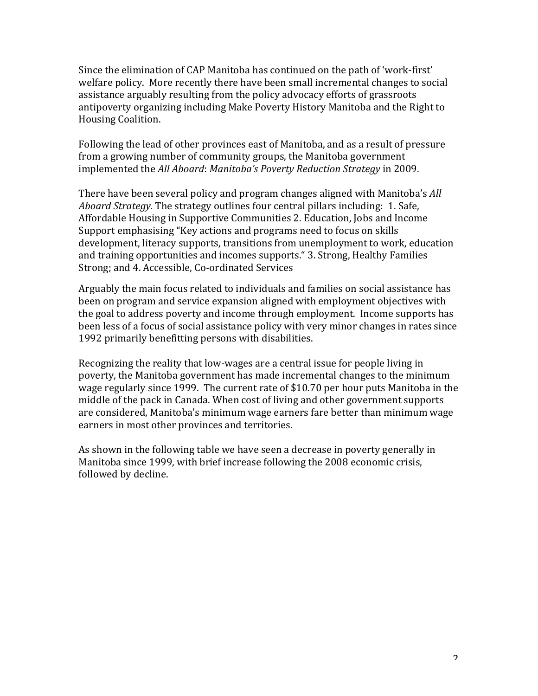Since the elimination of CAP Manitoba has continued on the path of 'work-first' welfare policy. More recently there have been small incremental changes to social assistance arguably resulting from the policy advocacy efforts of grassroots antipoverty organizing including Make Poverty History Manitoba and the Right to Housing Coalition.

Following the lead of other provinces east of Manitoba, and as a result of pressure from a growing number of community groups, the Manitoba government implemented the *All Aboard*: *Manitoba's Poverty Reduction Strategy* in 2009.

There have been several policy and program changes aligned with Manitoba's *All Aboard Strategy.* The strategy outlines four central pillars including: 1. Safe, Affordable Housing in Supportive Communities 2. Education, Jobs and Income Support emphasising "Key actions and programs need to focus on skills development, literacy supports, transitions from unemployment to work, education and training opportunities and incomes supports." 3. Strong, Healthy Families Strong; and 4. Accessible, Co-ordinated Services

Arguably the main focus related to individuals and families on social assistance has been on program and service expansion aligned with employment objectives with the goal to address poverty and income through employment. Income supports has been less of a focus of social assistance policy with very minor changes in rates since 1992 primarily benefitting persons with disabilities.

Recognizing the reality that low-wages are a central issue for people living in poverty, the Manitoba government has made incremental changes to the minimum wage regularly since 1999. The current rate of \$10.70 per hour puts Manitoba in the middle of the pack in Canada. When cost of living and other government supports are considered, Manitoba's minimum wage earners fare better than minimum wage earners in most other provinces and territories.

As shown in the following table we have seen a decrease in poverty generally in Manitoba since 1999, with brief increase following the 2008 economic crisis, followed by decline.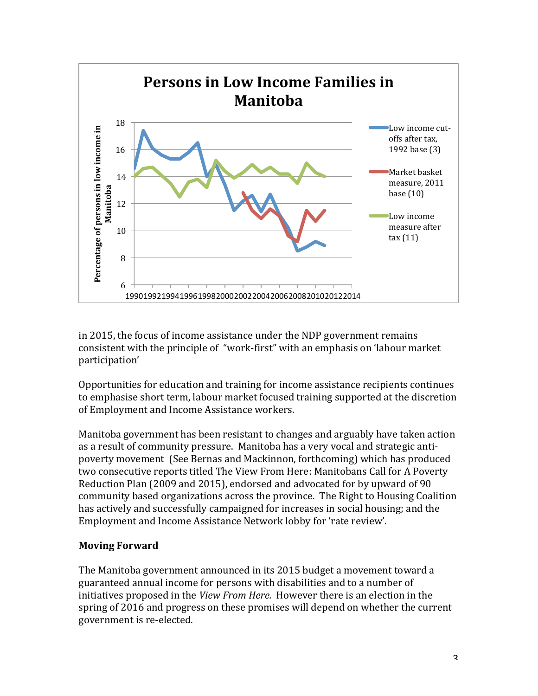

in 2015, the focus of income assistance under the NDP government remains consistent with the principle of "work-first" with an emphasis on 'labour market participation' 

Opportunities for education and training for income assistance recipients continues to emphasise short term, labour market focused training supported at the discretion of Employment and Income Assistance workers.

Manitoba government has been resistant to changes and arguably have taken action as a result of community pressure. Manitoba has a very vocal and strategic antipoverty movement (See Bernas and Mackinnon, forthcoming) which has produced two consecutive reports titled The View From Here: Manitobans Call for A Poverty Reduction Plan (2009 and 2015), endorsed and advocated for by upward of 90 community based organizations across the province. The Right to Housing Coalition has actively and successfully campaigned for increases in social housing; and the Employment and Income Assistance Network lobby for 'rate review'.

## **Moving Forward**

The Manitoba government announced in its 2015 budget a movement toward a guaranteed annual income for persons with disabilities and to a number of initiatives proposed in the *View From Here.* However there is an election in the spring of 2016 and progress on these promises will depend on whether the current government is re-elected.